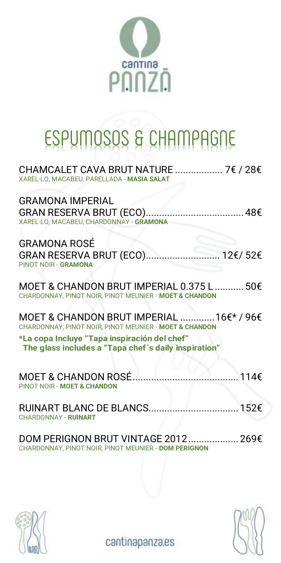

# ESPUMOSOS & CHAMPAGNE

| CHAMCALET CAVA BRUT NATURE  7€ / 28€<br>XAREL-LO, MACABEU, PARELLADA - MASIA SALAT                                                                                                                         |  |
|------------------------------------------------------------------------------------------------------------------------------------------------------------------------------------------------------------|--|
| <b>GRAMONA IMPERIAL</b><br>XAREL LO, MACABEU, CHARDONNAY - GRAMONA                                                                                                                                         |  |
| <b>GRAMONA ROSÉ</b><br>PINOT NOIR - GRAMONA                                                                                                                                                                |  |
| MOET & CHANDON BRUT IMPERIAL 0.375 L  50€<br>CHARDONNAY, PINOT NOIR, PINOT MEUNIER - MOET & CHANDON                                                                                                        |  |
| MOET & CHANDON BRUT IMPERIAL  16€* / 96€<br>CHARDONNAY, PINOT NOIR, PINOT MEUNIER - MOET & CHANDON<br>*La copa Incluye "Tapa inspiración del chef"<br>The glass includes a "Tapa chef's daily inspiration" |  |
| PINOT NOIR - MOET & CHANDON                                                                                                                                                                                |  |
| <b>CHARDONNAY - RUINART</b>                                                                                                                                                                                |  |
| DOM PERIGNON BRUT VINTAGE 2012 269€<br>CHARDONNAY, PINOT NOIR, PINOT MEUNIER - DOM PERIGNON                                                                                                                |  |



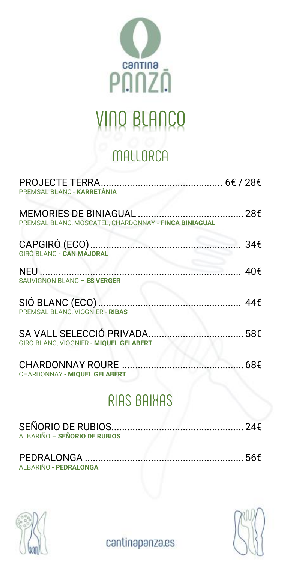

### VINO BLANCO

### **MALLORCA**

| PREMSAL BLANC - KARRETANIA                                                |          |
|---------------------------------------------------------------------------|----------|
| PREMSAL BLANC, MOSCATEL, CHARDONNAY - FINCA BINIAGUAL                     |          |
| GIRÓ BI ANC - CAN MAJORAL                                                 |          |
| SAUVIGNON BLANC - ES VERGER                                               |          |
| SIÓ BLANC (ECO) ………………………………………………… 44€<br>PREMSAL BLANC, VIOGNER - RIBAS |          |
| SA VALL SELECCIÓ PRIVADA<br>GIRÓ BLANC, VIOGNIER - MIOUEL GELABERT        |          |
| CHARDONNAY ROURE<br>CHARDONNAY - MIQUEL GELABERT                          | ………… 68€ |
|                                                                           |          |

### RIAS BAIXAS

| ALBARIÑO - SEÑORIO DE RUBIOS |  |
|------------------------------|--|
| ALBARIÑO - PEDRALONGA        |  |



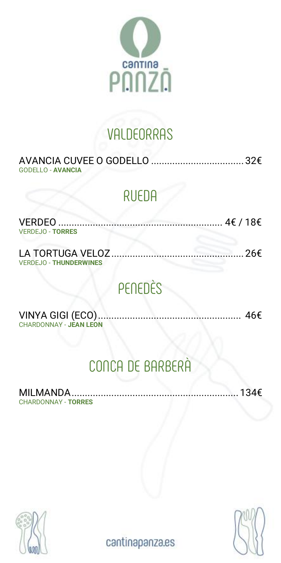

### **VALDEORRAS**

| GODELLO - AVANCIA |  |
|-------------------|--|

#### RUEDA

| <b>VERDEJO - TORRES</b>       |  |
|-------------------------------|--|
| <b>VERDEJO - THUNDERWINES</b> |  |

### PENEDÈS

| <b>CHARDONNAY - JEAN LEON</b> |  |
|-------------------------------|--|

### CONCA DE BARBERÀ

MILMANDA............................................................... 134€ CHARDONNAY - **TORRES**



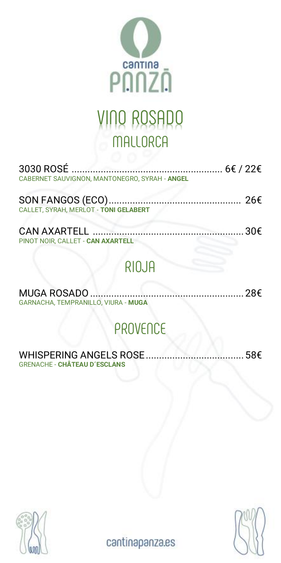

### VINO ROSADO MALLORCA

| CABERNET SAUVIGNON, MANTONEGRO, SYRAH - ANGEL |  |
|-----------------------------------------------|--|
|                                               |  |

| CALLET. SYRAH. MERLOT - TONI GELABERT |  |
|---------------------------------------|--|

CAN AXARTELL ......................................................... 30€ PINOT NOIR, CALLET - **CAN AXARTELL**

### RIOJA

| GARNACHA, TEMPRANILLO, VIURA - MUGA |  |
|-------------------------------------|--|

### PROVENCE

#### WHISPERING ANGELS ROSE.....................................58€ GRENACHE - **CHÂTEAU D´ESCLANS**



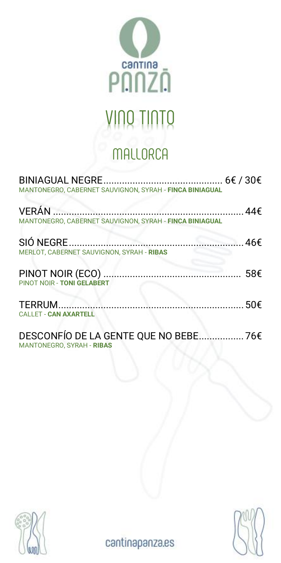

## VINO TINTO

### **MALLORCA**

| MANTONEGRO, CABERNET SAUVIGNON, SYRAH - FINCA BINIAGUAL                   |  |
|---------------------------------------------------------------------------|--|
| MANTONEGRO, CABERNET SAUVIGNON, SYRAH - FINCA BINIAGUAL                   |  |
| MERLOT, CABERNET SAUVIGNON, SYRAH - RIBAS                                 |  |
| PINOT NOIR - TONI GELABERT                                                |  |
| <b>CALLET - CAN AXARTELL</b>                                              |  |
| DESCONFÍO DE LA GENTE OUE NO BEBE 76€<br><b>MANTONEGRO, SYRAH - RIBAS</b> |  |



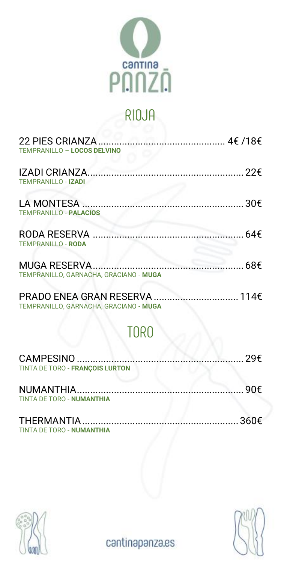

### RIOJA

| TEMPRANILLO - LOCOS DELVINO                                    |  |
|----------------------------------------------------------------|--|
| <b>TEMPRANILLO - IZADI</b>                                     |  |
| <b>TEMPRANILLO - PALACIOS</b>                                  |  |
| <b>TEMPRANILLO - RODA</b>                                      |  |
| 68f<br>MUGA RESERVA.<br>TEMPRANILLO, GARNACHA, GRACIANO - MUGA |  |
|                                                                |  |

TEMPRANILLO, GARNACHA, GRACIANO - **MUGA**

### TORO

| TINTA DE TORO - FRANCOIS LURTON |  |
|---------------------------------|--|
|                                 |  |
| TINTA DE TORO - NUMANTHIA       |  |

| TINTA DE TORO - NUMANTHIA |  |
|---------------------------|--|



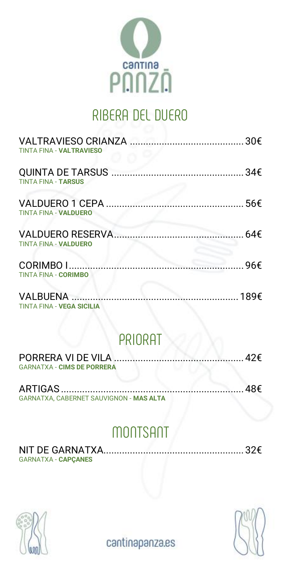

## RIBERA DEL DUERO

| <b>TINTA FINA - VALTRAVIESO</b>  |  |
|----------------------------------|--|
| <b>TINTA FINA - TARSUS</b>       |  |
| <b>TINTA FINA - VALDUERO</b>     |  |
| <b>TINTA FINA - VALDUERO</b>     |  |
| <b>TINTA FINA - CORIMBO</b>      |  |
| <b>TINTA FINA - VEGA SICILIA</b> |  |

#### PRIORAT

| <b>GARNATXA - CIMS DE PORRERA</b> |  |
|-----------------------------------|--|

| GARNATXA, CABERNET SAUVIGNON - MAS ALTA |  |
|-----------------------------------------|--|

### **MONTSAN**

| <b>GARNATXA - CAPCANES</b> |  |
|----------------------------|--|